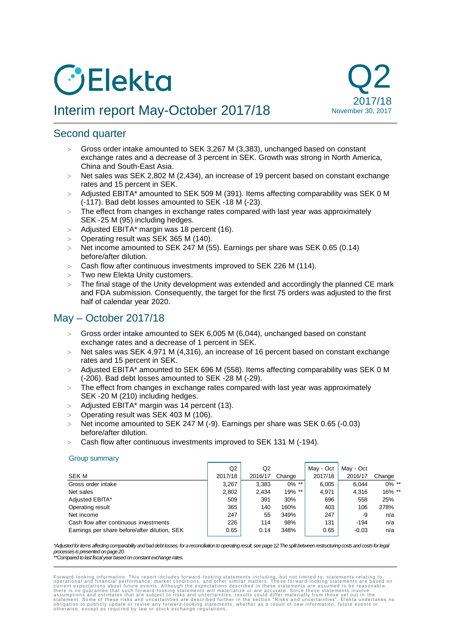# **C** Elekta



# Interim report May-October 2017/18

# Second quarter

- Gross order intake amounted to SEK 3,267 M (3,383), unchanged based on constant exchange rates and a decrease of 3 percent in SEK. Growth was strong in North America, China and South-East Asia.
- $>$  Net sales was SEK 2,802 M (2,434), an increase of 19 percent based on constant exchange rates and 15 percent in SEK.
- $>$  Adjusted EBITA\* amounted to SEK 509 M (391). Items affecting comparability was SEK 0 M (-117). Bad debt losses amounted to SEK -18 M (-23).
- The effect from changes in exchange rates compared with last year was approximately SEK -25 M (95) including hedges.
- $>$  Adjusted EBITA\* margin was 18 percent (16).
- $>$  Operating result was SEK 365 M (140).
- $>$  Net income amounted to SEK 247 M (55). Earnings per share was SEK 0.65 (0.14) before/after dilution.
- Cash flow after continuous investments improved to SEK 226 M (114).
- > Two new Elekta Unity customers.
- The final stage of the Unity development was extended and accordingly the planned CE mark and FDA submission. Consequently, the target for the first 75 orders was adjusted to the first half of calendar year 2020.

# May – October 2017/18

- Gross order intake amounted to SEK 6,005 M (6,044), unchanged based on constant exchange rates and a decrease of 1 percent in SEK.
- $>$  Net sales was SEK 4,971 M (4,316), an increase of 16 percent based on constant exchange rates and 15 percent in SEK.
- Adjusted EBITA\* amounted to SEK 696 M (558). Items affecting comparability was SEK 0 M (-206). Bad debt losses amounted to SEK -28 M (-29).
- $>$  The effect from changes in exchange rates compared with last year was approximately SEK -20 M (210) including hedges.
- $>$  Adjusted EBITA\* margin was 14 percent (13).
- $>$  Operating result was SEK 403 M (106).
- Net income amounted to SEK 247 M (-9). Earnings per share was SEK 0.65 (-0.03) before/after dilution.
- Cash flow after continuous investments improved to SEK 131 M (-194).

#### Group summary

| Q2      | Q2      |          | May - Oct | May - Oct |          |
|---------|---------|----------|-----------|-----------|----------|
| 2017/18 | 2016/17 | Change   | 2017/18   | 2016/17   | Change   |
| 3.267   | 3,383   | $0\%$ ** | 6.005     | 6.044     | $0\%$ ** |
| 2,802   | 2,434   | 19% **   | 4.971     | 4,316     | 16% **   |
| 509     | 391     | 30%      | 696       | 558       | 25%      |
| 365     | 140     | 160%     | 403       | 106       | 278%     |
| 247     | 55      | 349%     | 247       | -9        | n/a      |
| 226     | 114     | 98%      | 131       | $-194$    | n/a      |
| 0.65    | 0.14    | 348%     | 0.65      | $-0.03$   | n/a      |
|         |         |          |           |           |          |

#### *\*Adjusted for items affecting comparability and bad debt losses, for a reconciliation to operating result, see page 12.The split between restructuring costs and costs for legal processes is presented on page 20.*

*\*\*Compared to last fiscal year basedon constant exchange rates.*

Forward-looking information. This report includes forward-looking statements including, but not limited to, statements relating to<br>operational and financial performance, market conditions, and other similar matters. These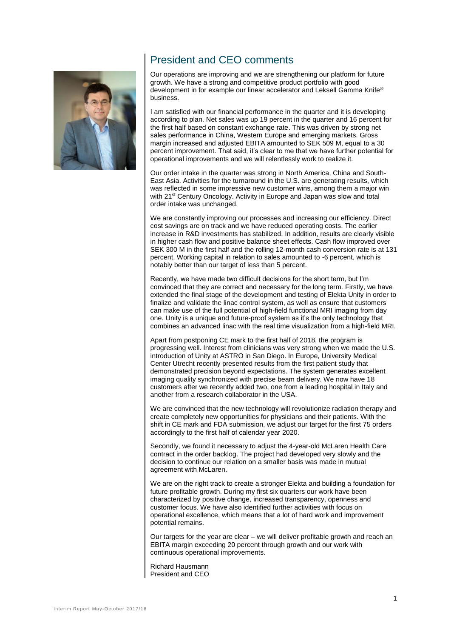

# President and CEO comments

Our operations are improving and we are strengthening our platform for future growth. We have a strong and competitive product portfolio with good development in for example our linear accelerator and Leksell Gamma Knife® business.

I am satisfied with our financial performance in the quarter and it is developing according to plan. Net sales was up 19 percent in the quarter and 16 percent for the first half based on constant exchange rate. This was driven by strong net sales performance in China, Western Europe and emerging markets. Gross margin increased and adjusted EBITA amounted to SEK 509 M, equal to a 30 percent improvement. That said, it's clear to me that we have further potential for operational improvements and we will relentlessly work to realize it.

Our order intake in the quarter was strong in North America, China and South-East Asia. Activities for the turnaround in the U.S. are generating results, which was reflected in some impressive new customer wins, among them a major win with 21<sup>st</sup> Century Oncology. Activity in Europe and Japan was slow and total order intake was unchanged.

We are constantly improving our processes and increasing our efficiency. Direct cost savings are on track and we have reduced operating costs. The earlier increase in R&D investments has stabilized. In addition, results are clearly visible in higher cash flow and positive balance sheet effects. Cash flow improved over SEK 300 M in the first half and the rolling 12-month cash conversion rate is at 131 percent. Working capital in relation to sales amounted to -6 percent, which is notably better than our target of less than 5 percent.

Recently, we have made two difficult decisions for the short term, but I'm convinced that they are correct and necessary for the long term. Firstly, we have extended the final stage of the development and testing of Elekta Unity in order to finalize and validate the linac control system, as well as ensure that customers can make use of the full potential of high-field functional MRI imaging from day one. Unity is a unique and future-proof system as it's the only technology that combines an advanced linac with the real time visualization from a high-field MRI.

Apart from postponing CE mark to the first half of 2018, the program is progressing well. Interest from clinicians was very strong when we made the U.S. introduction of Unity at ASTRO in San Diego. In Europe, University Medical Center Utrecht recently presented results from the first patient study that demonstrated precision beyond expectations. The system generates excellent imaging quality synchronized with precise beam delivery. We now have 18 customers after we recently added two, one from a leading hospital in Italy and another from a research collaborator in the USA.

We are convinced that the new technology will revolutionize radiation therapy and create completely new opportunities for physicians and their patients. With the shift in CE mark and FDA submission, we adjust our target for the first 75 orders accordingly to the first half of calendar year 2020.

Secondly, we found it necessary to adjust the 4-year-old McLaren Health Care contract in the order backlog. The project had developed very slowly and the decision to continue our relation on a smaller basis was made in mutual agreement with McLaren.

We are on the right track to create a stronger Elekta and building a foundation for future profitable growth. During my first six quarters our work have been characterized by positive change, increased transparency, openness and customer focus. We have also identified further activities with focus on operational excellence, which means that a lot of hard work and improvement potential remains.

Our targets for the year are clear – we will deliver profitable growth and reach an EBITA margin exceeding 20 percent through growth and our work with continuous operational improvements.

Richard Hausmann President and CEO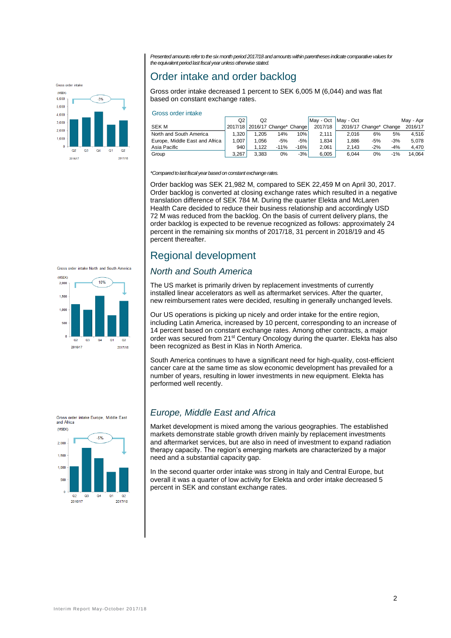*Presented amounts refer to the six month period 2017/18 and amounts within parentheses indicate comparative values for the equivalent period last fiscal year unless otherwise stated.*



# Order intake and order backlog

Gross order intake decreased 1 percent to SEK 6,005 M (6,044) and was flat based on constant exchange rates.

#### Gross order intake

|                                | Q2                             | Q2    |        |        | May - Oct   May - Oct |       |                        |       | May - Apr |
|--------------------------------|--------------------------------|-------|--------|--------|-----------------------|-------|------------------------|-------|-----------|
| <b>SEK M</b>                   | 2017/18 2016/17 Change* Change |       |        |        | 2017/18               |       | 2016/17 Change* Change |       | 2016/17   |
| North and South America        | 1.320                          | 1.205 | 14%    | 10%    | 2.111                 | 2.016 | 6%                     | 5%    | 4.516     |
| Europe, Middle East and Africa | 1.007                          | 1.056 | $-5%$  | $-5%$  | 1.834                 | 1.886 | $-5%$                  | $-3%$ | 5.078     |
| Asia Pacific                   | 940                            | 1.122 | $-11%$ | $-16%$ | 2.061                 | 2.143 | $-2%$                  | $-4%$ | 4.470     |
| Group                          | 3.267                          | 3.383 | 0%     | $-3%$  | 6.005                 | 6.044 | 0%                     | $-1%$ | 14.064    |

#### *\*Compared to last fiscal year based on constant exchange rates.*

Order backlog was SEK 21,982 M, compared to SEK 22,459 M on April 30, 2017. Order backlog is converted at closing exchange rates which resulted in a negative translation difference of SEK 784 M. During the quarter Elekta and McLaren Health Care decided to reduce their business relationship and accordingly USD 72 M was reduced from the backlog. On the basis of current delivery plans, the order backlog is expected to be revenue recognized as follows: approximately 24 percent in the remaining six months of 2017/18, 31 percent in 2018/19 and 45 percent thereafter.

# Regional development

#### *North and South America*

The US market is primarily driven by replacement investments of currently installed linear accelerators as well as aftermarket services. After the quarter, new reimbursement rates were decided, resulting in generally unchanged levels.

Our US operations is picking up nicely and order intake for the entire region, including Latin America, increased by 10 percent, corresponding to an increase of 14 percent based on constant exchange rates. Among other contracts, a major order was secured from 21<sup>st</sup> Century Oncology during the quarter. Elekta has also been recognized as Best in Klas in North America.

South America continues to have a significant need for high-quality, cost-efficient cancer care at the same time as slow economic development has prevailed for a number of years, resulting in lower investments in new equipment. Elekta has performed well recently.



## *Europe, Middle East and Africa*

Market development is mixed among the various geographies. The established markets demonstrate stable growth driven mainly by replacement investments and aftermarket services, but are also in need of investment to expand radiation therapy capacity. The region's emerging markets are characterized by a major need and a substantial capacity gap.

In the second quarter order intake was strong in Italy and Central Europe, but overall it was a quarter of low activity for Elekta and order intake decreased 5 percent in SEK and constant exchange rates.

Gross order intake North and South America

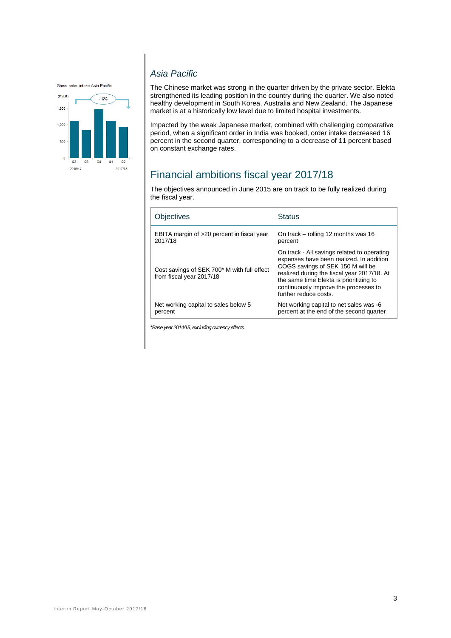Gross order intake Asia Pacific



## *Asia Pacific*

The Chinese market was strong in the quarter driven by the private sector. Elekta strengthened its leading position in the country during the quarter. We also noted healthy development in South Korea, Australia and New Zealand. The Japanese market is at a historically low level due to limited hospital investments.

Impacted by the weak Japanese market, combined with challenging comparative period, when a significant order in India was booked, order intake decreased 16 percent in the second quarter, corresponding to a decrease of 11 percent based on constant exchange rates.

# Financial ambitions fiscal year 2017/18

The objectives announced in June 2015 are on track to be fully realized during the fiscal year.

| Objectives                                                              | <b>Status</b>                                                                                                                                                                                                                                                                            |
|-------------------------------------------------------------------------|------------------------------------------------------------------------------------------------------------------------------------------------------------------------------------------------------------------------------------------------------------------------------------------|
| EBITA margin of >20 percent in fiscal year                              | On track - rolling 12 months was 16                                                                                                                                                                                                                                                      |
| 2017/18                                                                 | percent                                                                                                                                                                                                                                                                                  |
| Cost savings of SEK 700* M with full effect<br>from fiscal year 2017/18 | On track - All savings related to operating<br>expenses have been realized. In addition<br>COGS savings of SEK 150 M will be<br>realized during the fiscal year 2017/18. At<br>the same time Elekta is prioritizing to<br>continuously improve the processes to<br>further reduce costs. |
| Net working capital to sales below 5                                    | Net working capital to net sales was -6                                                                                                                                                                                                                                                  |
| percent                                                                 | percent at the end of the second quarter                                                                                                                                                                                                                                                 |

*\*Base year 2014/15, excluding currency effects.*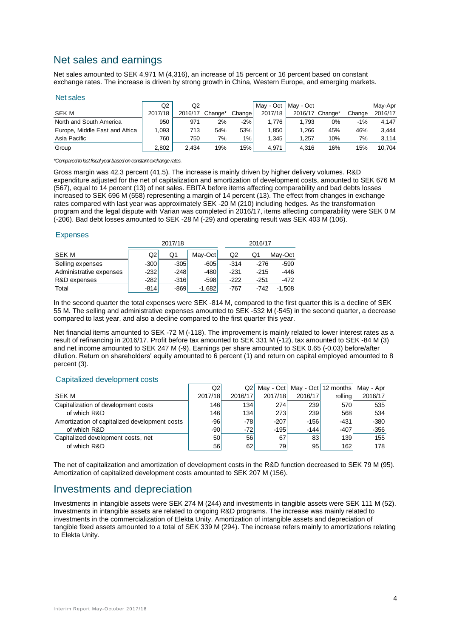# Net sales and earnings

Net sales amounted to SEK 4,971 M (4,316), an increase of 15 percent or 16 percent based on constant exchange rates. The increase is driven by strong growth in China, Western Europe, and emerging markets.

#### Net sales

|                                | Q2      | Q2      |         |        | May - Oct   May - Oct |         |         |        | May-Apr |
|--------------------------------|---------|---------|---------|--------|-----------------------|---------|---------|--------|---------|
| SEK M                          | 2017/18 | 2016/17 | Change* | Change | 2017/18               | 2016/17 | Change* | Change | 2016/17 |
| North and South America        | 950     | 971     | 2%      | $-2%$  | 1.776                 | 1.793   | 0%      | $-1%$  | 4.147   |
| Europe, Middle East and Africa | 1,093   | 713     | 54%     | 53%    | 1.850                 | 1.266   | 45%     | 46%    | 3.444   |
| Asia Pacific                   | 760     | 750     | 7%      | 1%     | 1.345                 | 1.257   | 10%     | 7%     | 3.114   |
| Group                          | 2.802   | 2.434   | 19%     | 15%    | 4,971                 | 4.316   | 16%     | 15%    | 10.704  |

*\*Compared to last fiscal year based on constant exchange rates.*

Gross margin was 42.3 percent (41.5). The increase is mainly driven by higher delivery volumes. R&D expenditure adjusted for the net of capitalization and amortization of development costs, amounted to SEK 676 M (567), equal to 14 percent (13) of net sales. EBITA before items affecting comparability and bad debts losses increased to SEK 696 M (558) representing a margin of 14 percent (13). The effect from changes in exchange rates compared with last year was approximately SEK -20 M (210) including hedges. As the transformation program and the legal dispute with Varian was completed in 2016/17, items affecting comparability were SEK 0 M (-206). Bad debt losses amounted to SEK -28 M (-29) and operating result was SEK 403 M (106).

#### Expenses

|                         |        | 2017/18 |          |        | 2016/17 |          |  |
|-------------------------|--------|---------|----------|--------|---------|----------|--|
| <b>SEK M</b>            | Q2     | Q1      | May-Oct  | Q2     | Q1      | May-Oct  |  |
| Selling expenses        | $-300$ | $-305$  | $-605$   | $-314$ | -276    | $-590$   |  |
| Administrative expenses | $-232$ | $-248$  | $-480$   | $-231$ | $-215$  | $-446$   |  |
| R&D expenses            | $-282$ | $-316$  | $-598$   | $-222$ | $-251$  | $-472$   |  |
| Total                   | $-814$ | $-869$  | $-1,682$ | $-767$ | $-742$  | $-1.508$ |  |

In the second quarter the total expenses were SEK -814 M, compared to the first quarter this is a decline of SEK 55 M. The selling and administrative expenses amounted to SEK -532 M (-545) in the second quarter, a decrease compared to last year, and also a decline compared to the first quarter this year.

Net financial items amounted to SEK -72 M (-118). The improvement is mainly related to lower interest rates as a result of refinancing in 2016/17. Profit before tax amounted to SEK 331 M (-12), tax amounted to SEK -84 M (3) and net income amounted to SEK 247 M (-9). Earnings per share amounted to SEK 0.65 (-0.03) before/after dilution. Return on shareholders' equity amounted to 6 percent (1) and return on capital employed amounted to 8 percent (3).

#### Capitalized development costs

|                                               | Q2      | Q2I     |         |                 | May - Oct   May - Oct   12 months | Mav - Apr |
|-----------------------------------------------|---------|---------|---------|-----------------|-----------------------------------|-----------|
| <b>SEK M</b>                                  | 2017/18 | 2016/17 | 2017/18 | 2016/17         | rolling                           | 2016/17   |
| Capitalization of development costs           | 146     | 134     | 274     | 239             | 570                               | 535       |
| of which R&D                                  | 146     | 134     | 273     | 239             | 568                               | 534       |
| Amortization of capitalized development costs | -96     | -781    | $-207$  | $-156$          | -431                              | $-380$    |
| of which R&D                                  | -90     | $-72$   | $-195$  | $-144$          | $-407$                            | $-356$    |
| Capitalized development costs, net            | 50      | 56      | 67      | 83              | 139                               | 155       |
| of which R&D                                  | 56      | 62      | 79      | 95 <sub>1</sub> | 162                               | 178       |

The net of capitalization and amortization of development costs in the R&D function decreased to SEK 79 M (95). Amortization of capitalized development costs amounted to SEK 207 M (156).

## Investments and depreciation

Investments in intangible assets were SEK 274 M (244) and investments in tangible assets were SEK 111 M (52). Investments in intangible assets are related to ongoing R&D programs. The increase was mainly related to investments in the commercialization of Elekta Unity. Amortization of intangible assets and depreciation of tangible fixed assets amounted to a total of SEK 339 M (294). The increase refers mainly to amortizations relating to Elekta Unity.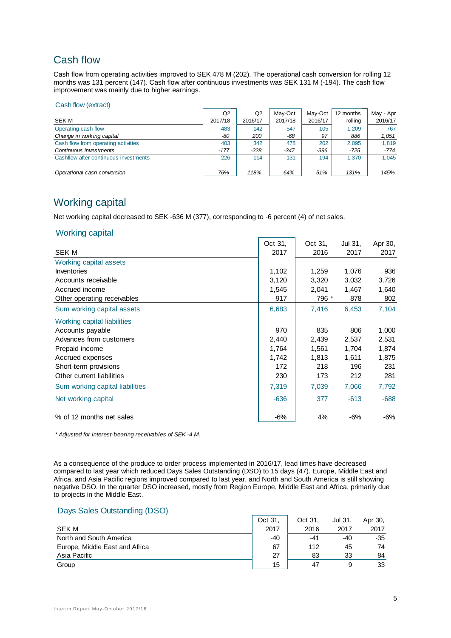# Cash flow

Cash flow from operating activities improved to SEK 478 M (202). The operational cash conversion for rolling 12 months was 131 percent (147). Cash flow after continuous investments was SEK 131 M (-194). The cash flow improvement was mainly due to higher earnings.

#### Cash flow (extract)

|                                       | Q2      | Q2      | May-Oct | May-Oct | 12 months | May - Apr |
|---------------------------------------|---------|---------|---------|---------|-----------|-----------|
| SEK M                                 | 2017/18 | 2016/17 | 2017/18 | 2016/17 | rolling   | 2016/17   |
| Operating cash flow                   | 483     | 142     | 547     | 105     | 1.209     | 767       |
| Change in working capital             | -80     | 200     | $-68$   | 97      | 886       | 1,051     |
| Cash flow from operating activities   | 403     | 342     | 478     | 202     | 2.095     | 1,819     |
| Continuous investments                | $-177$  | $-228$  | -347    | $-396$  | $-725$    | $-774$    |
| Cashflow after continuous investments | 226     | 114     | 131     | $-194$  | 1.370     | 1.045     |
| Operational cash conversion           | 76%     | 118%    | 64%     | 51%     | 131%      | 145%      |

## Working capital

Net working capital decreased to SEK -636 M (377), corresponding to -6 percent (4) of net sales.

#### Working capital

|                                    | Oct 31. | Oct 31, | Jul 31, | Apr 30, |
|------------------------------------|---------|---------|---------|---------|
| <b>SEK M</b>                       | 2017    | 2016    | 2017    | 2017    |
| Working capital assets             |         |         |         |         |
| Inventories                        | 1,102   | 1,259   | 1,076   | 936     |
| Accounts receivable                | 3,120   | 3,320   | 3,032   | 3,726   |
| Accrued income                     | 1,545   | 2,041   | 1,467   | 1,640   |
| Other operating receivables        | 917     | 796 *   | 878     | 802     |
| Sum working capital assets         | 6,683   | 7,416   | 6,453   | 7,104   |
| <b>Working capital liabilities</b> |         |         |         |         |
| Accounts payable                   | 970     | 835     | 806     | 1,000   |
| Advances from customers            | 2,440   | 2,439   | 2,537   | 2,531   |
| Prepaid income                     | 1,764   | 1,561   | 1,704   | 1,874   |
| Accrued expenses                   | 1,742   | 1,813   | 1,611   | 1,875   |
| Short-term provisions              | 172     | 218     | 196     | 231     |
| Other current liabilities          | 230     | 173     | 212     | 281     |
| Sum working capital liabilities    | 7,319   | 7,039   | 7,066   | 7,792   |
| Net working capital                | $-636$  | 377     | $-613$  | $-688$  |
| % of 12 months net sales           | $-6%$   | 4%      | $-6%$   | -6%     |

*\* Adjusted for interest-bearing receivables of SEK -4 M.*

As a consequence of the produce to order process implemented in 2016/17, lead times have decreased compared to last year which reduced Days Sales Outstanding (DSO) to 15 days (47). Europe, Middle East and Africa, and Asia Pacific regions improved compared to last year, and North and South America is still showing negative DSO. In the quarter DSO increased, mostly from Region Europe, Middle East and Africa, primarily due to projects in the Middle East.

#### Days Sales Outstanding (DSO)

|                                | Oct 31 | Oct 31. | Jul 31. | Apr 30, |
|--------------------------------|--------|---------|---------|---------|
| <b>SEK M</b>                   | 2017   | 2016    | 2017    | 2017    |
| North and South America        | -40    | -41     | $-40$   | -35     |
| Europe, Middle East and Africa | 67     | 112     | 45      | 74      |
| Asia Pacific                   | 27     | 83      | 33      | 84      |
| Group                          | 15     | 47      |         | 33      |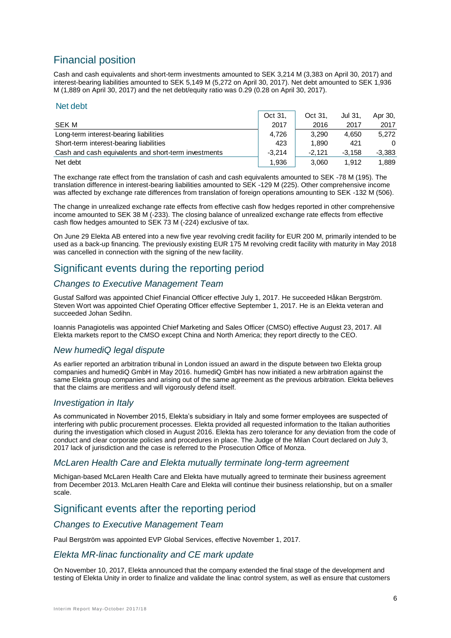# Financial position

Cash and cash equivalents and short-term investments amounted to SEK 3,214 M (3,383 on April 30, 2017) and interest-bearing liabilities amounted to SEK 5,149 M (5,272 on April 30, 2017). Net debt amounted to SEK 1,936 M (1,889 on April 30, 2017) and the net debt/equity ratio was 0.29 (0.28 on April 30, 2017).

#### Net debt

|                                                      | Oct 31.  | Oct 31.  | Jul 31.  | Apr 30,  |
|------------------------------------------------------|----------|----------|----------|----------|
| SEK M                                                | 2017     | 2016     | 2017     | 2017     |
| Long-term interest-bearing liabilities               | 4.726    | 3.290    | 4.650    | 5.272    |
| Short-term interest-bearing liabilities              | 423      | 1.890    | 421      | $\Omega$ |
| Cash and cash equivalents and short-term investments | $-3.214$ | $-2.121$ | $-3.158$ | $-3.383$ |
| Net debt                                             | 1,936    | 3.060    | 1.912    | 1.889    |

The exchange rate effect from the translation of cash and cash equivalents amounted to SEK -78 M (195). The translation difference in interest-bearing liabilities amounted to SEK -129 M (225). Other comprehensive income was affected by exchange rate differences from translation of foreign operations amounting to SEK -132 M (506).

The change in unrealized exchange rate effects from effective cash flow hedges reported in other comprehensive income amounted to SEK 38 M (-233). The closing balance of unrealized exchange rate effects from effective cash flow hedges amounted to SEK 73 M (-224) exclusive of tax.

On June 29 Elekta AB entered into a new five year revolving credit facility for EUR 200 M, primarily intended to be used as a back-up financing. The previously existing EUR 175 M revolving credit facility with maturity in May 2018 was cancelled in connection with the signing of the new facility.

## Significant events during the reporting period

## *Changes to Executive Management Team*

Gustaf Salford was appointed Chief Financial Officer effective July 1, 2017. He succeeded Håkan Bergström. Steven Wort was appointed Chief Operating Officer effective September 1, 2017. He is an Elekta veteran and succeeded Johan Sedihn.

Ioannis Panagiotelis was appointed Chief Marketing and Sales Officer (CMSO) effective August 23, 2017. All Elekta markets report to the CMSO except China and North America; they report directly to the CEO.

## *New humediQ legal dispute*

As earlier reported an arbitration tribunal in London issued an award in the dispute between two Elekta group companies and humediQ GmbH in May 2016. humediQ GmbH has now initiated a new arbitration against the same Elekta group companies and arising out of the same agreement as the previous arbitration. Elekta believes that the claims are meritless and will vigorously defend itself.

## *Investigation in Italy*

As communicated in November 2015, Elekta's subsidiary in Italy and some former employees are suspected of interfering with public procurement processes. Elekta provided all requested information to the Italian authorities during the investigation which closed in August 2016. Elekta has zero tolerance for any deviation from the code of conduct and clear corporate policies and procedures in place. The Judge of the Milan Court declared on July 3, 2017 lack of jurisdiction and the case is referred to the Prosecution Office of Monza.

#### *McLaren Health Care and Elekta mutually terminate long-term agreement*

Michigan-based McLaren Health Care and Elekta have mutually agreed to terminate their business agreement from December 2013. McLaren Health Care and Elekta will continue their business relationship, but on a smaller scale.

## Significant events after the reporting period

## *Changes to Executive Management Team*

Paul Bergström was appointed EVP Global Services, effective November 1, 2017.

#### *Elekta MR-linac functionality and CE mark update*

On November 10, 2017, Elekta announced that the company extended the final stage of the development and testing of Elekta Unity in order to finalize and validate the linac control system, as well as ensure that customers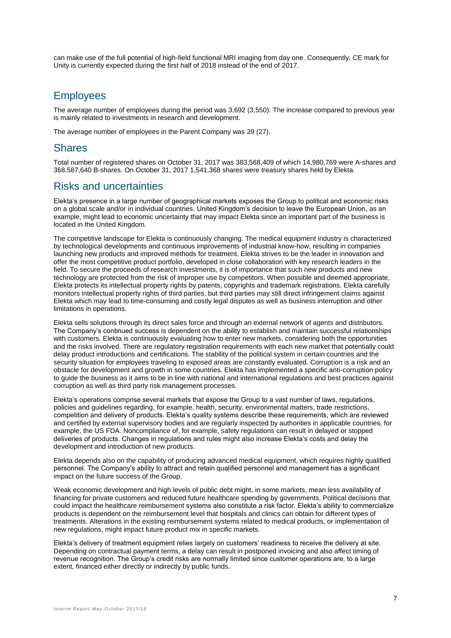can make use of the full potential of high-field functional MRI imaging from day one. Consequently, CE mark for Unity is currently expected during the first half of 2018 instead of the end of 2017.

## **Employees**

The average number of employees during the period was 3,692 (3,550). The increase compared to previous year is mainly related to investments in research and development.

The average number of employees in the Parent Company was 29 (27).

## Shares

Total number of registered shares on October 31, 2017 was 383,568,409 of which 14,980,769 were A-shares and 368,587,640 B-shares. On October 31, 2017 1,541,368 shares were treasury shares held by Elekta.

## Risks and uncertainties

Elekta's presence in a large number of geographical markets exposes the Group to political and economic risks on a global scale and/or in individual countries. United Kingdom's decision to leave the European Union, as an example, might lead to economic uncertainty that may impact Elekta since an important part of the business is located in the United Kingdom.

The competitive landscape for Elekta is continuously changing. The medical equipment industry is characterized by technological developments and continuous improvements of industrial know-how, resulting in companies launching new products and improved methods for treatment. Elekta strives to be the leader in innovation and offer the most competitive product portfolio, developed in close collaboration with key research leaders in the field. To secure the proceeds of research investments, it is of importance that such new products and new technology are protected from the risk of improper use by competitors. When possible and deemed appropriate, Elekta protects its intellectual property rights by patents, copyrights and trademark registrations. Elekta carefully monitors intellectual property rights of third parties, but third parties may still direct infringement claims against Elekta which may lead to time-consuming and costly legal disputes as well as business interruption and other limitations in operations.

Elekta sells solutions through its direct sales force and through an external network of agents and distributors. The Company's continued success is dependent on the ability to establish and maintain successful relationships with customers. Elekta is continuously evaluating how to enter new markets, considering both the opportunities and the risks involved. There are regulatory registration requirements with each new market that potentially could delay product introductions and certifications. The stability of the political system in certain countries and the security situation for employees traveling to exposed areas are constantly evaluated. Corruption is a risk and an obstacle for development and growth in some countries. Elekta has implemented a specific anti-corruption policy to guide the business as it aims to be in line with national and international regulations and best practices against corruption as well as third party risk management processes.

Elekta's operations comprise several markets that expose the Group to a vast number of laws, regulations, policies and guidelines regarding, for example, health, security, environmental matters, trade restrictions, competition and delivery of products. Elekta's quality systems describe these requirements, which are reviewed and certified by external supervisory bodies and are regularly inspected by authorities in applicable countries, for example, the US FDA. Noncompliance of, for example, safety regulations can result in delayed or stopped deliveries of products. Changes in regulations and rules might also increase Elekta's costs and delay the development and introduction of new products.

Elekta depends also on the capability of producing advanced medical equipment, which requires highly qualified personnel. The Company's ability to attract and retain qualified personnel and management has a significant impact on the future success of the Group.

Weak economic development and high levels of public debt might, in some markets, mean less availability of financing for private customers and reduced future healthcare spending by governments. Political decisions that could impact the healthcare reimbursement systems also constitute a risk factor. Elekta's ability to commercialize products is dependent on the reimbursement level that hospitals and clinics can obtain for different types of treatments. Alterations in the existing reimbursement systems related to medical products, or implementation of new regulations, might impact future product mix in specific markets.

Elekta's delivery of treatment equipment relies largely on customers' readiness to receive the delivery at site. Depending on contractual payment terms, a delay can result in postponed invoicing and also affect timing of revenue recognition. The Group's credit risks are normally limited since customer operations are, to a large extent, financed either directly or indirectly by public funds.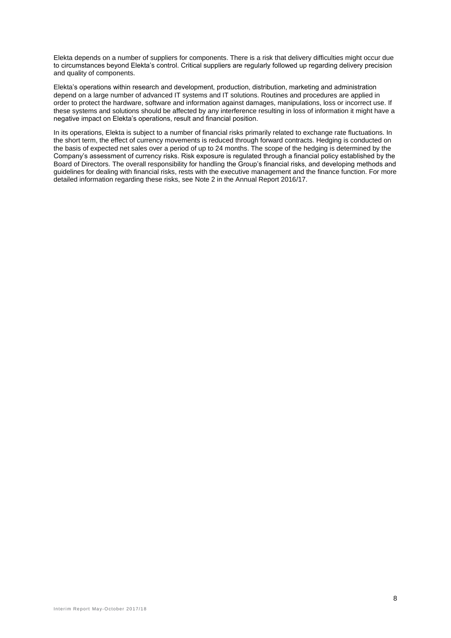Elekta depends on a number of suppliers for components. There is a risk that delivery difficulties might occur due to circumstances beyond Elekta's control. Critical suppliers are regularly followed up regarding delivery precision and quality of components.

Elekta's operations within research and development, production, distribution, marketing and administration depend on a large number of advanced IT systems and IT solutions. Routines and procedures are applied in order to protect the hardware, software and information against damages, manipulations, loss or incorrect use. If these systems and solutions should be affected by any interference resulting in loss of information it might have a negative impact on Elekta's operations, result and financial position.

In its operations, Elekta is subject to a number of financial risks primarily related to exchange rate fluctuations. In the short term, the effect of currency movements is reduced through forward contracts. Hedging is conducted on the basis of expected net sales over a period of up to 24 months. The scope of the hedging is determined by the Company's assessment of currency risks. Risk exposure is regulated through a financial policy established by the Board of Directors. The overall responsibility for handling the Group's financial risks, and developing methods and guidelines for dealing with financial risks, rests with the executive management and the finance function. For more detailed information regarding these risks, see Note 2 in the Annual Report 2016/17.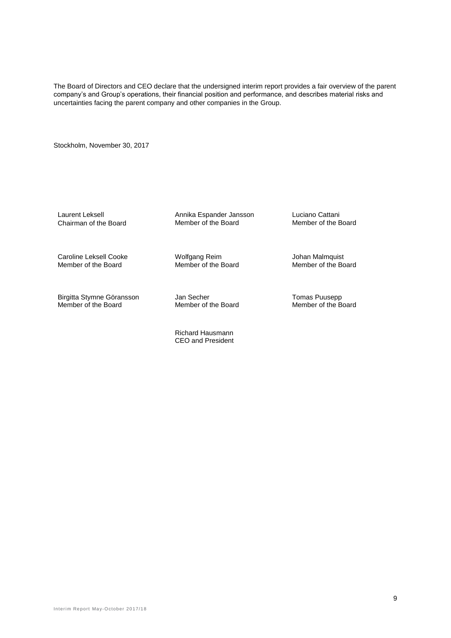The Board of Directors and CEO declare that the undersigned interim report provides a fair overview of the parent company's and Group's operations, their financial position and performance, and describes material risks and uncertainties facing the parent company and other companies in the Group.

Stockholm, November 30, 2017

Laurent Leksell Chairman of the Board

Annika Espander Jansson Member of the Board

Luciano Cattani Member of the Board

Caroline Leksell Cooke Member of the Board

Birgitta Stymne Göransson Member of the Board

Wolfgang Reim Member of the Board

Jan Secher Member of the Board

Richard Hausmann CEO and President Tomas Puusepp Member of the Board

Johan Malmquist Member of the Board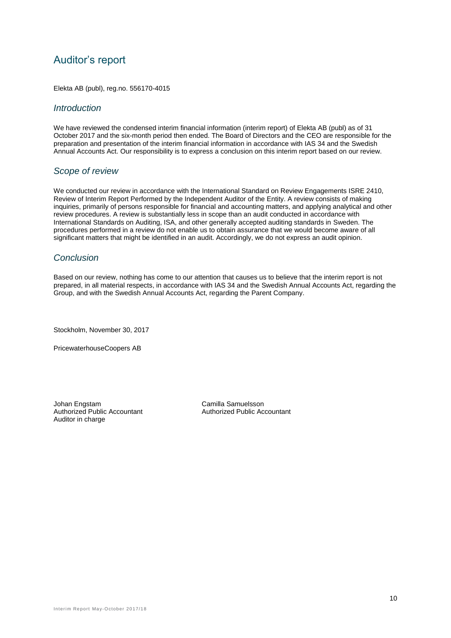# Auditor's report

Elekta AB (publ), reg.no. 556170-4015

#### *Introduction*

We have reviewed the condensed interim financial information (interim report) of Elekta AB (publ) as of 31 October 2017 and the six-month period then ended. The Board of Directors and the CEO are responsible for the preparation and presentation of the interim financial information in accordance with IAS 34 and the Swedish Annual Accounts Act. Our responsibility is to express a conclusion on this interim report based on our review.

#### *Scope of review*

We conducted our review in accordance with the International Standard on Review Engagements ISRE 2410, Review of Interim Report Performed by the Independent Auditor of the Entity. A review consists of making inquiries, primarily of persons responsible for financial and accounting matters, and applying analytical and other review procedures. A review is substantially less in scope than an audit conducted in accordance with International Standards on Auditing, ISA, and other generally accepted auditing standards in Sweden. The procedures performed in a review do not enable us to obtain assurance that we would become aware of all significant matters that might be identified in an audit. Accordingly, we do not express an audit opinion.

#### *Conclusion*

Based on our review, nothing has come to our attention that causes us to believe that the interim report is not prepared, in all material respects, in accordance with IAS 34 and the Swedish Annual Accounts Act, regarding the Group, and with the Swedish Annual Accounts Act, regarding the Parent Company.

Stockholm, November 30, 2017

PricewaterhouseCoopers AB

Authorized Public Accountant Auditor in charge

Johan Engstam Camilla Samuelsson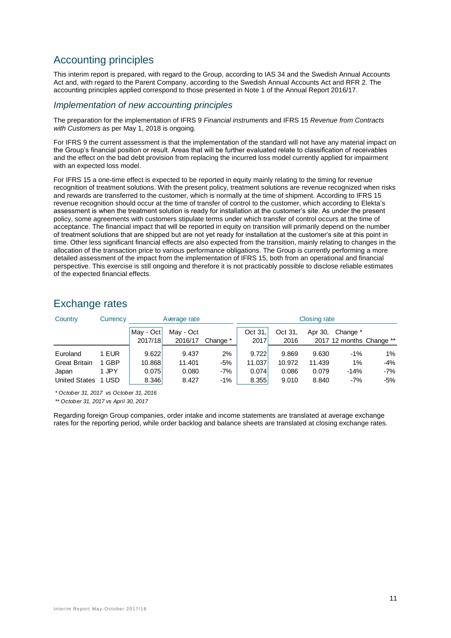# Accounting principles

This interim report is prepared, with regard to the Group, according to IAS 34 and the Swedish Annual Accounts Act and, with regard to the Parent Company, according to the Swedish Annual Accounts Act and RFR 2. The accounting principles applied correspond to those presented in Note 1 of the Annual Report 2016/17.

#### *Implementation of new accounting principles*

The preparation for the implementation of IFRS 9 *Financial instruments* and IFRS 15 *Revenue from Contracts with Customers* as per May 1, 2018 is ongoing.

For IFRS 9 the current assessment is that the implementation of the standard will not have any material impact on the Group's financial position or result. Areas that will be further evaluated relate to classification of receivables and the effect on the bad debt provision from replacing the incurred loss model currently applied for impairment with an expected loss model.

For IFRS 15 a one-time effect is expected to be reported in equity mainly relating to the timing for revenue recognition of treatment solutions. With the present policy, treatment solutions are revenue recognized when risks and rewards are transferred to the customer, which is normally at the time of shipment. According to IFRS 15 revenue recognition should occur at the time of transfer of control to the customer, which according to Elekta's assessment is when the treatment solution is ready for installation at the customer's site. As under the present policy, some agreements with customers stipulate terms under which transfer of control occurs at the time of acceptance. The financial impact that will be reported in equity on transition will primarily depend on the number of treatment solutions that are shipped but are not yet ready for installation at the customer's site at this point in time. Other less significant financial effects are also expected from the transition, mainly relating to changes in the allocation of the transaction price to various performance obligations. The Group is currently performing a more detailed assessment of the impact from the implementation of IFRS 15, both from an operational and financial perspective. This exercise is still ongoing and therefore it is not practicably possible to disclose reliable estimates of the expected financial effects.

# Exchange rates

| Country              | Currency   | Average rate |           |          |         |         | <b>Closing rate</b> |                          |       |
|----------------------|------------|--------------|-----------|----------|---------|---------|---------------------|--------------------------|-------|
|                      |            | May - Oct    | May - Oct |          | Oct 31, | Oct 31. | Apr 30,             | Change *                 |       |
|                      |            | 2017/18      | 2016/17   | Change * | 2017    | 2016    |                     | 2017 12 months Change ** |       |
| Euroland             | EUR        | 9.622        | 9.437     | 2%       | 9.722   | 9.869   | 9.630               | $-1%$                    | 1%    |
| <b>Great Britain</b> | <b>GBP</b> | 10.868       | 11.401    | -5%      | 11.037  | 10.972  | 11.439              | 1%                       | -4%   |
| Japan                | JPY        | 0.075        | 0.080     | -7%      | 0.074   | 0.086   | 0.079               | $-14%$                   | $-7%$ |
| <b>United States</b> | 1 USD      | 8.346        | 8.427     | $-1%$    | 8.355   | 9.010   | 8.840               | $-7%$                    | -5%   |

*\* October 31, 2017 vs October 31, 2016*

*\*\* October 31, 2017 vs April 30, 2017*

Regarding foreign Group companies, order intake and income statements are translated at average exchange rates for the reporting period, while order backlog and balance sheets are translated at closing exchange rates.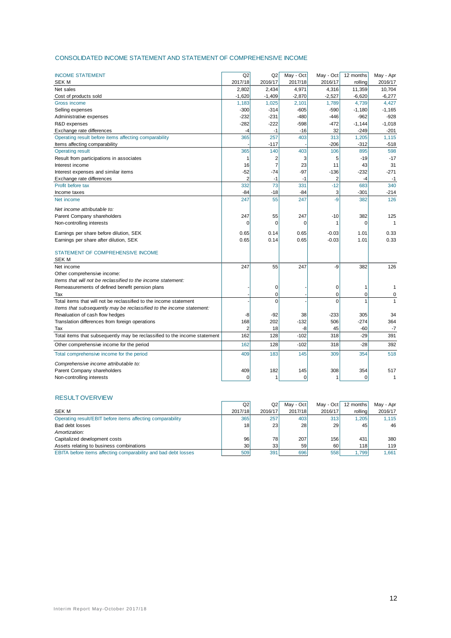#### CONSOLIDATED INCOME STATEMENT AND STATEMENT OF COMPREHENSIVE INCOME

| <b>INCOME STATEMENT</b>                                                   | Q <sub>2</sub> |                | May - Oct    | May - Oct          | 12 months    |                      |
|---------------------------------------------------------------------------|----------------|----------------|--------------|--------------------|--------------|----------------------|
| <b>SEK M</b>                                                              | 2017/18        | Q2<br>2016/17  | 2017/18      | 2016/17            | rolling      | May - Apr<br>2016/17 |
| Net sales                                                                 | 2,802          | 2,434          | 4,971        | 4,316              | 11,359       | 10,704               |
| Cost of products sold                                                     | $-1,620$       | $-1,409$       | $-2,870$     | $-2,527$           | $-6,620$     | $-6,277$             |
| Gross income                                                              | 1,183          | 1,025          | 2,101        | 1,789              | 4,739        | 4,427                |
| Selling expenses                                                          | $-300$         | $-314$         | $-605$       | $-590$             | $-1,180$     | $-1,165$             |
| Administrative expenses                                                   | $-232$         | $-231$         | $-480$       | $-446$             | $-962$       | $-928$               |
| R&D expenses                                                              | $-282$         | $-222$         | $-598$       | -472               | $-1,144$     | $-1,018$             |
| Exchange rate differences                                                 | $-4$           | $-1$           | $-16$        | 32                 | $-249$       | $-201$               |
| Operating result before items affecting comparability                     | 365            | 257            | 403          | 313                | 1,205        | 1,115                |
| Items affecting comparability                                             |                | $-117$         |              | $-206$             | $-312$       | $-518$               |
| <b>Operating result</b>                                                   | 365            | 140            | 403          | 106                | 895          | 598                  |
| Result from participations in associates                                  |                | 2              | 3            | 5                  | $-19$        | $-17$                |
| Interest income                                                           | 16             | $\overline{7}$ | 23           | 11                 | 43           | 31                   |
| Interest expenses and similar items                                       | $-52$          | -74            | -97          | $-136$             | $-232$       | $-271$               |
| Exchange rate differences                                                 |                | $-1$           | $-1$         | $\overline{2}$     | -4           | $-1$                 |
| Profit before tax                                                         | 332            | 73             | 331          | $-12$              | 683          | 340                  |
| Income taxes                                                              | $-84$          | $-18$          | -84          | 3                  | $-301$       | $-214$               |
| Net income                                                                | 247            | 55             | 247          | -9                 | 382          | 126                  |
| Net income attributable to:                                               |                |                |              |                    |              |                      |
| Parent Company shareholders                                               | 247            | 55             | 247          | $-10$              | 382          | 125                  |
| Non-controlling interests                                                 | $\Omega$       | 0              | $\Omega$     |                    | $\Omega$     |                      |
|                                                                           |                | 0.14           |              |                    |              | 0.33                 |
| Earnings per share before dilution, SEK                                   | 0.65<br>0.65   | 0.14           | 0.65<br>0.65 | $-0.03$<br>$-0.03$ | 1.01<br>1.01 | 0.33                 |
| Earnings per share after dilution, SEK                                    |                |                |              |                    |              |                      |
| STATEMENT OF COMPREHENSIVE INCOME                                         |                |                |              |                    |              |                      |
| <b>SEK M</b>                                                              |                |                |              |                    |              |                      |
| Net income                                                                | 247            | 55             | 247          | -9                 | 382          | 126                  |
| Other comprehensive income:                                               |                |                |              |                    |              |                      |
| Items that will not be reclassified to the income statement:              |                |                |              |                    |              |                      |
| Remeasurements of defined benefit pension plans                           |                | 0              |              | $\mathbf 0$        | 1            | $\mathbf{1}$         |
| Tax                                                                       |                | $\mathbf 0$    |              | 0                  | $\Omega$     | $\mathbf 0$          |
| Total items that will not be reclassified to the income statement         |                | $\mathbf 0$    |              | $\Omega$           | 1            | $\mathbf{1}$         |
| Items that subsequently may be reclassified to the income statement:      |                |                |              |                    |              |                      |
| Revaluation of cash flow hedges                                           | -8             | $-92$          | 38           | -233               | 305          | 34                   |
| Translation differences from foreign operations                           | 168            | 202            | $-132$       | 506                | $-274$       | 364                  |
| Tax                                                                       | $\overline{2}$ | 18             | -8           | 45                 | $-60$        | $-7$                 |
| Total items that subsequently may be reclassified to the income statement | 162            | 128            | $-102$       | 318                | $-29$        | 391                  |
| Other comprehensive income for the period                                 | 162            | 128            | $-102$       | 318                | $-28$        | 392                  |
| Total comprehensive income for the period                                 | 409            | 183            | 145          | 309                | 354          | 518                  |
| Comprehensive income attributable to:                                     |                |                |              |                    |              |                      |
| Parent Company shareholders                                               | 409            | 182            | 145          | 308                | 354          | 517                  |
|                                                                           | $\Omega$       | 1              | $\Omega$     | 1                  | $\Omega$     | 1                    |
| Non-controlling interests                                                 |                |                |              |                    |              |                      |

#### RESULT OVERVIEW

| <b>NEQUEL UVERVIEW</b>                                         |                 |         |           |           |           |           |
|----------------------------------------------------------------|-----------------|---------|-----------|-----------|-----------|-----------|
|                                                                | Q2              | Q2      | May - Oct | May - Oct | 12 months | May - Apr |
| SEK M                                                          | 2017/18         | 2016/17 | 2017/18   | 2016/17   | rolling   | 2016/17   |
| Operating result/EBIT before items affecting comparability     | <b>365</b>      | 257     | 403       | 313       | 1.205     | 1.115     |
| Bad debt losses                                                | 18 <sup>l</sup> | 23      | 28        | 29        | 45        | 46        |
| Amortization:                                                  |                 |         |           |           |           |           |
| Capitalized development costs                                  | 96              | 78      | 207       | 156       | 431       | 380       |
| Assets relating to business combinations                       | 30 <sup>1</sup> | 33      | 59        | 60        | 118       | 119       |
| EBITA before items affecting comparability and bad debt losses | 509             | 391     | 696       | 558       | 1.799     | 1,661     |
|                                                                |                 |         |           |           |           |           |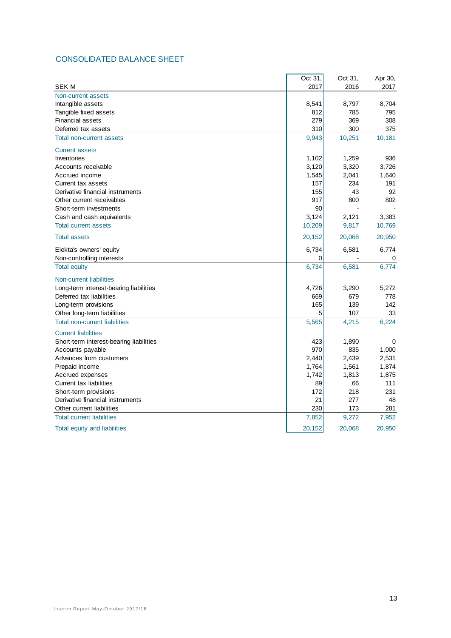## CONSOLIDATED BALANCE SHEET

|                                         | Oct 31, | Oct 31, | Apr 30, |
|-----------------------------------------|---------|---------|---------|
| <b>SEK M</b>                            | 2017    | 2016    | 2017    |
| Non-current assets                      |         |         |         |
| Intangible assets                       | 8,541   | 8,797   | 8,704   |
| Tangible fixed assets                   | 812     | 785     | 795     |
| <b>Financial assets</b>                 | 279     | 369     | 308     |
| Deferred tax assets                     | 310     | 300     | 375     |
| <b>Total non-current assets</b>         | 9,943   | 10,251  | 10,181  |
| <b>Current assets</b>                   |         |         |         |
| Inventories                             | 1,102   | 1,259   | 936     |
| Accounts receivable                     | 3,120   | 3,320   | 3,726   |
| Accrued income                          | 1,545   | 2,041   | 1,640   |
| Current tax assets                      | 157     | 234     | 191     |
| Derivative financial instruments        | 155     | 43      | 92      |
| Other current receivables               | 917     | 800     | 802     |
| Short-term investments                  | 90      |         |         |
| Cash and cash equivalents               | 3,124   | 2,121   | 3,383   |
| <b>Total current assets</b>             | 10,209  | 9,817   | 10,769  |
| <b>Total assets</b>                     | 20,152  | 20,068  | 20,950  |
| Elekta's owners' equity                 | 6,734   | 6,581   | 6,774   |
| Non-controlling interests               | 0       |         | 0       |
| <b>Total equity</b>                     | 6,734   | 6,581   | 6,774   |
| Non-current liabilities                 |         |         |         |
| Long-term interest-bearing liabilities  | 4,726   | 3,290   | 5,272   |
| Deferred tax liabilities                | 669     | 679     | 778     |
| Long-term provisions                    | 165     | 139     | 142     |
| Other long-term liabilities             | 5       | 107     | 33      |
| <b>Total non-current liabilities</b>    | 5,565   | 4,215   | 6,224   |
| <b>Current liabilities</b>              |         |         |         |
| Short-term interest-bearing liabilities | 423     | 1,890   | 0       |
| Accounts payable                        | 970     | 835     | 1,000   |
| Advances from customers                 | 2,440   | 2,439   | 2,531   |
| Prepaid income                          | 1,764   | 1,561   | 1,874   |
| Accrued expenses                        | 1,742   | 1,813   | 1,875   |
| Current tax liabilities                 | 89      | 66      | 111     |
| Short-term provisions                   | 172     | 218     | 231     |
| Derivative financial instruments        | 21      | 277     | 48      |
| Other current liabilities               | 230     | 173     | 281     |
| <b>Total current liabilities</b>        | 7,852   | 9,272   | 7,952   |
| Total equity and liabilities            | 20,152  | 20,068  | 20,950  |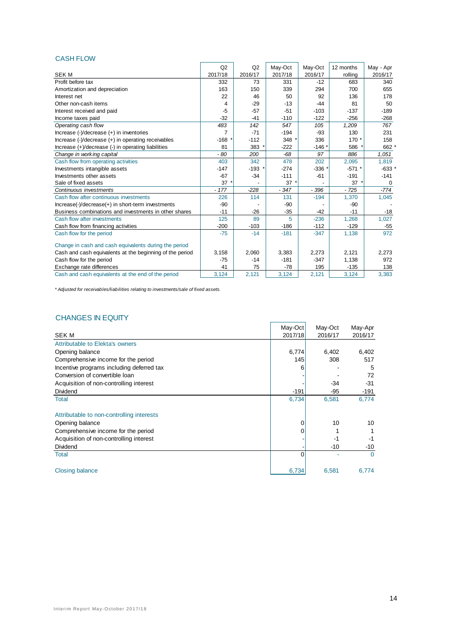#### CASH FLOW

|                                                          | Q2      | Q2      | May-Oct | May-Oct | 12 months | May - Apr |
|----------------------------------------------------------|---------|---------|---------|---------|-----------|-----------|
| <b>SEK M</b>                                             | 2017/18 | 2016/17 | 2017/18 | 2016/17 | rolling   | 2016/17   |
| Profit before tax                                        | 332     | 73      | 331     | $-12$   | 683       | 340       |
| Amortization and depreciation                            | 163     | 150     | 339     | 294     | 700       | 655       |
| Interest net                                             | 22      | 46      | 50      | 92      | 136       | 178       |
| Other non-cash items                                     | 4       | $-29$   | $-13$   | $-44$   | 81        | 50        |
| Interest received and paid                               | -5      | $-57$   | $-51$   | $-103$  | $-137$    | $-189$    |
| Income taxes paid                                        | $-32$   | $-41$   | $-110$  | $-122$  | $-256$    | $-268$    |
| Operating cash flow                                      | 483     | 142     | 547     | 105     | 1,209     | 767       |
| Increase (-)/decrease (+) in inventories                 | 7       | $-71$   | $-194$  | $-93$   | 130       | 231       |
| Increase (-)/decrease (+) in operating receivables       | $-168$  | $-112$  | 348     | 336     | $170*$    | 158       |
| Increase (+)/decrease (-) in operating liabilities       | 81      | 383     | $-222$  | $-146*$ | 586       | 662 *     |
| Change in working capital                                | - 80    | 200     | $-68$   | 97      | 886       | 1.051     |
| Cash flow from operating activities                      | 403     | 342     | 478     | 202     | 2,095     | 1,819     |
| Investments intangible assets                            | $-147$  | $-193$  | $-274$  | $-336$  | $-571$ *  | $-633*$   |
| Investments other assets                                 | $-67$   | $-34$   | $-111$  | $-61$   | $-191$    | $-141$    |
| Sale of fixed assets                                     | $37$ *  |         | 37      |         | $37 *$    | 0         |
| Continuous investments                                   | $-177$  | $-228$  | $-347$  | $-396$  | $-725$    | $-774$    |
| Cash flow after continuous investments                   | 226     | 114     | 131     | $-194$  | 1,370     | 1,045     |
| Increase(-)/decrease(+) in short-term investments        | $-90$   |         | $-90$   |         | $-90$     |           |
| Business combinations and investments in other shares    | $-11$   | $-26$   | $-35$   | $-42$   | $-11$     | $-18$     |
| Cash flow after investments                              | 125     | 89      | 5       | $-236$  | 1,268     | 1,027     |
| Cash flow from financing activities                      | $-200$  | $-103$  | $-186$  | $-112$  | $-129$    | $-55$     |
| Cash flow for the period                                 | $-75$   | $-14$   | $-181$  | $-347$  | 1,138     | 972       |
| Change in cash and cash equivalents during the period    |         |         |         |         |           |           |
| Cash and cash equivalents at the beginning of the period | 3,158   | 2,060   | 3,383   | 2,273   | 2,121     | 2,273     |
| Cash flow for the period                                 | $-75$   | $-14$   | $-181$  | $-347$  | 1,138     | 972       |
| Exchange rate differences                                | 41      | 75      | $-78$   | 195     | $-135$    | 138       |
| Cash and cash equivalents at the end of the period       | 3.124   | 2.121   | 3.124   | 2.121   | 3.124     | 3.383     |

*\* Adjusted for receivables/liabilities relating to investments/sale of fixed assets.*

## CHANGES IN EQUITY

|                                           | May-Oct | May-Oct | May-Apr  |
|-------------------------------------------|---------|---------|----------|
| <b>SEK M</b>                              | 2017/18 | 2016/17 | 2016/17  |
| Attributable to Elekta's owners           |         |         |          |
| Opening balance                           | 6,774   | 6,402   | 6,402    |
| Comprehensive income for the period       | 145     | 308     | 517      |
| Incentive programs including deferred tax | 6       |         | 5        |
| Conversion of convertible loan            |         |         | 72       |
| Acquisition of non-controlling interest   |         | $-34$   | $-31$    |
| Dividend                                  | $-191$  | $-95$   | $-191$   |
| <b>Total</b>                              | 6,734   | 6,581   | 6.774    |
| Attributable to non-controlling interests |         |         |          |
| Opening balance                           | 0       | 10      | 10       |
| Comprehensive income for the period       | 0       |         |          |
| Acquisition of non-controlling interest   |         | -1      | -1       |
| Dividend                                  |         | $-10$   | $-10$    |
| <b>Total</b>                              | ი       |         | $\Omega$ |
| Closing balance                           | 6,734   | 6,581   | 6,774    |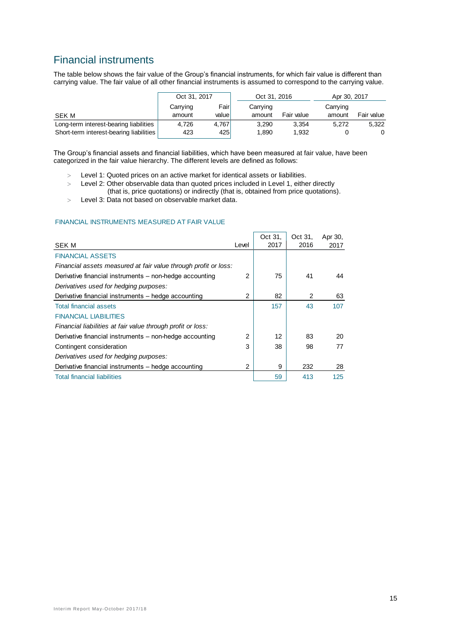# Financial instruments

The table below shows the fair value of the Group's financial instruments, for which fair value is different than carrying value. The fair value of all other financial instruments is assumed to correspond to the carrying value.

|                                         | Oct 31, 2017 |        | Oct 31, 2016 |            | Apr 30, 2017 |            |  |
|-----------------------------------------|--------------|--------|--------------|------------|--------------|------------|--|
|                                         | Carrying     | Fairl  | Carrying     |            | Carrying     |            |  |
| SEK M                                   | amount       | valuel | amount       | Fair value | amount       | Fair value |  |
| Long-term interest-bearing liabilities  | 4.726        | 4.767  | 3.290        | 3.354      | 5.272        | 5.322      |  |
| Short-term interest-bearing liabilities | 423          | 425    | 1.890        | 1.932      |              |            |  |

The Group's financial assets and financial liabilities, which have been measured at fair value, have been categorized in the fair value hierarchy. The different levels are defined as follows:

- Level 1: Quoted prices on an active market for identical assets or liabilities.
- > Level 2: Other observable data than quoted prices included in Level 1, either directly (that is, price quotations) or indirectly (that is, obtained from price quotations).
- Level 3: Data not based on observable market data.

#### FINANCIAL INSTRUMENTS MEASURED AT FAIR VALUE

| SEK M                                                           | Level | Oct 31,<br>2017 | Oct 31.<br>2016 | Apr 30,<br>2017 |
|-----------------------------------------------------------------|-------|-----------------|-----------------|-----------------|
| <b>FINANCIAL ASSETS</b>                                         |       |                 |                 |                 |
| Financial assets measured at fair value through profit or loss: |       |                 |                 |                 |
| Derivative financial instruments – non-hedge accounting         | 2     | 75              | 41              | 44              |
| Derivatives used for hedging purposes:                          |       |                 |                 |                 |
| Derivative financial instruments – hedge accounting             | 2     | 82              | 2               | 63              |
| <b>Total financial assets</b>                                   |       | 157             | 43              | 107             |
| <b>FINANCIAL LIABILITIES</b>                                    |       |                 |                 |                 |
| Financial liabilities at fair value through profit or loss:     |       |                 |                 |                 |
| Derivative financial instruments – non-hedge accounting         | 2     | 12              | 83              | 20              |
| Contingent consideration                                        | 3     | 38              | 98              | 77              |
| Derivatives used for hedging purposes:                          |       |                 |                 |                 |
| Derivative financial instruments – hedge accounting             | 2     | 9               | 232             | 28              |
| <b>Total financial liabilities</b>                              |       | 59              | 413             | 125             |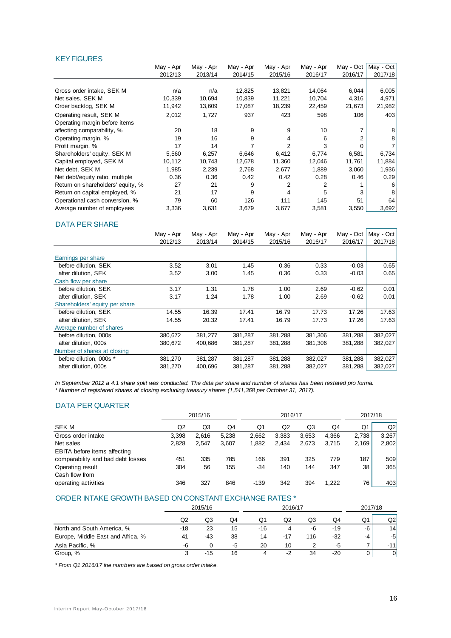#### KEY FIGURES

|                                   | May - Apr | May - Apr | May - Apr | May - Apr | May - Apr | May - Oct | May - Oct |
|-----------------------------------|-----------|-----------|-----------|-----------|-----------|-----------|-----------|
|                                   | 2012/13   | 2013/14   | 2014/15   | 2015/16   | 2016/17   | 2016/17   | 2017/18   |
|                                   |           |           |           |           |           |           |           |
| Gross order intake, SEK M         | n/a       | n/a       | 12,825    | 13,821    | 14,064    | 6,044     | 6,005     |
| Net sales, SEK M                  | 10,339    | 10,694    | 10,839    | 11,221    | 10,704    | 4,316     | 4,971     |
| Order backlog, SEK M              | 11,942    | 13,609    | 17,087    | 18,239    | 22,459    | 21,673    | 21,982    |
| Operating result, SEK M           | 2,012     | 1,727     | 937       | 423       | 598       | 106       | 403       |
| Operating margin before items     |           |           |           |           |           |           |           |
| affecting comparability, %        | 20        | 18        | 9         | 9         | 10        |           | 8         |
| Operating margin, %               | 19        | 16        | 9         | 4         | 6         |           | 8         |
| Profit margin, %                  | 17        | 14        |           | 2         | 3         |           |           |
| Shareholders' equity, SEK M       | 5,560     | 6,257     | 6,646     | 6,412     | 6,774     | 6,581     | 6,734     |
| Capital employed, SEK M           | 10,112    | 10,743    | 12,678    | 11,360    | 12,046    | 11,761    | 11,884    |
| Net debt, SEK M                   | 1,985     | 2,239     | 2,768     | 2,677     | 1,889     | 3,060     | 1,936     |
| Net debt/equity ratio, multiple   | 0.36      | 0.36      | 0.42      | 0.42      | 0.28      | 0.46      | 0.29      |
| Return on shareholders' equity, % | 27        | 21        | 9         | 2         | 2         |           | 6         |
| Return on capital employed, %     | 21        | 17        | 9         | 4         | 5         | 3         | 8         |
| Operational cash conversion, %    | 79        | 60        | 126       | 111       | 145       | 51        | 64        |
| Average number of employees       | 3,336     | 3,631     | 3,679     | 3,677     | 3,581     | 3,550     | 3,692     |

#### DATA PER SHARE

|                                | May - Apr | May - Apr | May - Apr | May - Apr | May - Apr | May - Oct | May - Oct |
|--------------------------------|-----------|-----------|-----------|-----------|-----------|-----------|-----------|
|                                | 2012/13   | 2013/14   | 2014/15   | 2015/16   | 2016/17   | 2016/17   | 2017/18   |
|                                |           |           |           |           |           |           |           |
| Earnings per share             |           |           |           |           |           |           |           |
| before dilution. SEK           | 3.52      | 3.01      | 1.45      | 0.36      | 0.33      | $-0.03$   | 0.65      |
| after dilution. SEK            | 3.52      | 3.00      | 1.45      | 0.36      | 0.33      | $-0.03$   | 0.65      |
| Cash flow per share            |           |           |           |           |           |           |           |
| before dilution. SEK           | 3.17      | 1.31      | 1.78      | 1.00      | 2.69      | $-0.62$   | 0.01      |
| after dilution. SEK            | 3.17      | 1.24      | 1.78      | 1.00      | 2.69      | $-0.62$   | 0.01      |
| Shareholders' equity per share |           |           |           |           |           |           |           |
| before dilution, SEK           | 14.55     | 16.39     | 17.41     | 16.79     | 17.73     | 17.26     | 17.63     |
| after dilution, SEK            | 14.55     | 20.32     | 17.41     | 16.79     | 17.73     | 17.26     | 17.63     |
| Average number of shares       |           |           |           |           |           |           |           |
| before dilution, 000s          | 380,672   | 381,277   | 381,287   | 381,288   | 381,306   | 381,288   | 382,027   |
| after dilution, 000s           | 380,672   | 400,686   | 381,287   | 381,288   | 381,306   | 381,288   | 382,027   |
| Number of shares at closing    |           |           |           |           |           |           |           |
| before dilution, 000s *        | 381,270   | 381,287   | 381,287   | 381,288   | 382,027   | 381,288   | 382,027   |
| after dilution, 000s           | 381,270   | 400,696   | 381,287   | 381,288   | 382,027   | 381,288   | 382,027   |

*In September 2012 a 4:1 share split was conducted. The data per share and number of shares has been restated pro forma. \* Number of registered shares at closing excluding treasury shares (1,541,368 per October 31, 2017).*

#### DATA PER QUARTER

|                                     |                | 2015/16 |       |        | 2016/17        |       |       |       | 2017/18 |  |
|-------------------------------------|----------------|---------|-------|--------|----------------|-------|-------|-------|---------|--|
| <b>SEK M</b>                        | Q <sub>2</sub> | Q3      | Q4    | Q1     | Q <sub>2</sub> | Q3    | Q4    | Q1    | Q2      |  |
| Gross order intake                  | 3.398          | 2.616   | 5,238 | 2,662  | 3,383          | 3.653 | 4,366 | 2,738 | 3.267   |  |
| Net sales                           | 2,828          | 2.547   | 3.607 | 1.882  | 2.434          | 2,673 | 3.715 | 2,169 | 2,802   |  |
| <b>EBITA</b> before items affecting |                |         |       |        |                |       |       |       |         |  |
| comparability and bad debt losses   | 451            | 335     | 785   | 166    | 391            | 325   | 779   | 187   | 509     |  |
| Operating result                    | 304            | 56      | 155   | -34    | 140            | 144   | 347   | 38    | 365     |  |
| Cash flow from                      |                |         |       |        |                |       |       |       |         |  |
| operating activities                | 346            | 327     | 846   | $-139$ | 342            | 394   | 1.222 | 76    | 403     |  |

#### ORDER INTAKE GROWTH BASED ON CONSTANT EXCHANGE RATES \*

|                                   | 2015/16 |     |    | 2016/17 |       |     |       | 2017/18 |       |
|-----------------------------------|---------|-----|----|---------|-------|-----|-------|---------|-------|
|                                   | Q2      | Q3  | Q4 | Ο1      | Q2    | Q3  | O4    | Q1      | Q2    |
| North and South America, %        | $-18$   | 23  | 15 | -16     |       | -6  | -19   | -6      | 14    |
| Europe, Middle East and Africa, % | 41      | -43 | 38 | 14      | $-17$ | 116 | $-32$ | -4      | -5    |
| Asia Pacific, %                   | -6      |     | -5 | 20      | 10    |     | -5    |         | $-11$ |
| Group, %                          |         | -15 | 16 | 4       | $-2$  | 34  | $-20$ |         | 0     |

*\* From Q1 2016/17 the numbers are based on gross order intake.*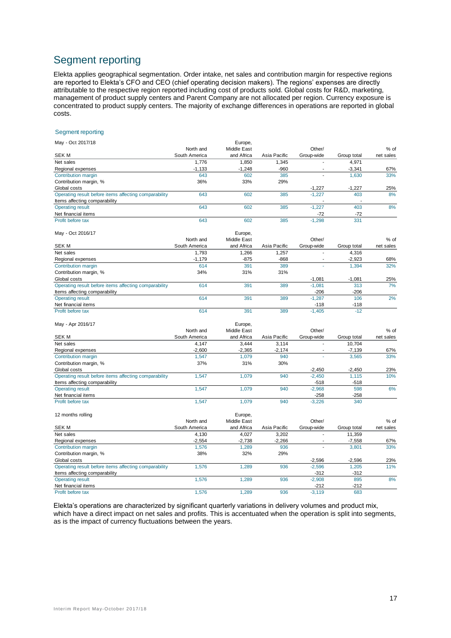# Segment reporting

Elekta applies geographical segmentation. Order intake, net sales and contribution margin for respective regions are reported to Elekta's CFO and CEO (chief operating decision makers). The regions' expenses are directly attributable to the respective region reported including cost of products sold. Global costs for R&D, marketing, management of product supply centers and Parent Company are not allocated per region. Currency exposure is concentrated to product supply centers. The majority of exchange differences in operations are reported in global costs.

#### Segment reporting

| May - Oct 2017/18                                     |               | Europe,     |              |            |             |           |
|-------------------------------------------------------|---------------|-------------|--------------|------------|-------------|-----------|
|                                                       | North and     | Middle East |              | $%$ of     |             |           |
| <b>SEK M</b>                                          | South America | and Africa  | Asia Pacific | Group-wide | Group total | net sales |
| Net sales                                             | 1.776         | 1.850       | 1.345        |            | 4.971       |           |
| Regional expenses                                     | $-1,133$      | $-1.248$    | -960         |            | $-3.341$    | 67%       |
| Contribution margin                                   | 643           | 602         | 385          |            | 1,630       | 33%       |
| Contribution margin, %                                | 36%           | 33%         | 29%          |            |             |           |
| Global costs                                          |               |             |              | $-1,227$   | $-1.227$    | 25%       |
| Operating result before items affecting comparability | 643           | 602         | 385          | $-1.227$   | 403         | 8%        |
| Items affecting comparability                         |               |             |              |            |             |           |
| Operating result                                      | 643           | 602         | 385          | $-1.227$   | 403         | 8%        |
| Net financial items                                   |               |             |              | $-72$      | $-72$       |           |
| Profit before tax                                     | 643           | 602         | 385          | $-1.298$   | 331         |           |

May - Oct 2016/17

| 11.01                                                 |               | $ \mathsf{u}\cdot\mathsf{v}\mathsf{v}$ |              |            |             |           |
|-------------------------------------------------------|---------------|----------------------------------------|--------------|------------|-------------|-----------|
|                                                       | North and     | Middle East                            |              | Other/     |             | $%$ of    |
| SEK M                                                 | South America | and Africa                             | Asia Pacific | Group-wide | Group total | net sales |
| Net sales                                             | 1.793         | 1.266                                  | 1.257        |            | 4.316       |           |
| Regional expenses                                     | $-1,179$      | $-875$                                 | $-868$       |            | $-2,923$    | 68%       |
| Contribution margin                                   | 614           | 391                                    | 389          |            | 1.394       | 32%       |
| Contribution margin, %                                | 34%           | 31%                                    | 31%          |            |             |           |
| Global costs                                          |               |                                        |              | $-1.081$   | $-1.081$    | 25%       |
| Operating result before items affecting comparability | 614           | 391                                    | 389          | $-1.081$   | 313         | 7%        |
| Items affecting comparability                         |               |                                        |              | $-206$     | $-206$      |           |
| <b>Operating result</b>                               | 614           | 391                                    | 389          | $-1.287$   | 106         | 2%        |
| Net financial items                                   |               |                                        |              | $-118$     | $-118$      |           |
| Profit before tax                                     | 614           | 391                                    | 389          | $-1.405$   | $-12$       |           |

| May - Apr 2016/17                                     |               | Europe,     |              |            |             |           |
|-------------------------------------------------------|---------------|-------------|--------------|------------|-------------|-----------|
|                                                       | North and     | Middle East |              | Other/     |             | $%$ of    |
| SEK M                                                 | South America | and Africa  | Asia Pacific | Group-wide | Group total | net sales |
| Net sales                                             | 4.147         | 3.444       | 3.114        |            | 10.704      |           |
| Regional expenses                                     | $-2.600$      | $-2,365$    | $-2.174$     |            | $-7,139$    | 67%       |
| Contribution margin                                   | 1.547         | 1.079       | 940          |            | 3,565       | 33%       |
| Contribution margin, %                                | 37%           | 31%         | 30%          |            |             |           |
| Global costs                                          |               |             |              | $-2.450$   | $-2,450$    | 23%       |
| Operating result before items affecting comparability | 1.547         | 1.079       | 940          | $-2.450$   | 1.115       | 10%       |
| Items affecting comparability                         |               |             |              | -518       | $-518$      |           |
| <b>Operating result</b>                               | 1.547         | 1.079       | 940          | $-2.968$   | 598         | 6%        |
| Net financial items                                   |               |             |              | $-258$     | $-258$      |           |
| Profit before tax                                     | 1.547         | 1.079       | 940          | $-3.226$   | 340         |           |

| 12 months rolling                                     |               | Europe,     |              |            |             |           |
|-------------------------------------------------------|---------------|-------------|--------------|------------|-------------|-----------|
|                                                       | North and     | Middle East |              | Other/     |             | $%$ of    |
| SEK M                                                 | South America | and Africa  | Asia Pacific | Group-wide | Group total | net sales |
| Net sales                                             | 4.130         | 4.027       | 3,202        |            | 11.359      |           |
| Regional expenses                                     | $-2,554$      | $-2.738$    | $-2,266$     |            | $-7,558$    | 67%       |
| Contribution margin                                   | 1.576         | 1.289       | 936          |            | 3.801       | 33%       |
| Contribution margin, %                                | 38%           | 32%         | 29%          |            |             |           |
| Global costs                                          |               |             |              | $-2.596$   | $-2.596$    | 23%       |
| Operating result before items affecting comparability | 1.576         | 1.289       | 936          | $-2,596$   | 1,205       | 11%       |
| Items affecting comparability                         |               |             |              | $-312$     | $-312$      |           |
| <b>Operating result</b>                               | 1,576         | 1.289       | 936          | $-2,908$   | 895         | 8%        |
| Net financial items                                   |               |             |              | $-212$     | $-212$      |           |
| Profit before tax                                     | .576          | .289        | 936          | $-3.119$   | 683         |           |

Elekta's operations are characterized by significant quarterly variations in delivery volumes and product mix, which have a direct impact on net sales and profits. This is accentuated when the operation is split into segments, as is the impact of currency fluctuations between the years.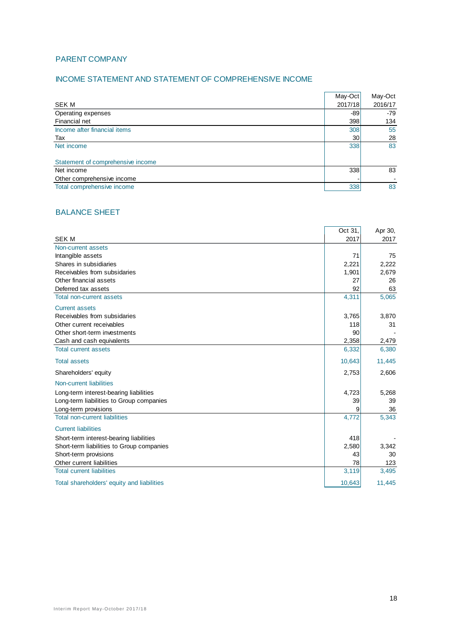#### PARENT COMPANY

#### INCOME STATEMENT AND STATEMENT OF COMPREHENSIVE INCOME

|                                   | May-Oct | May-Oct |
|-----------------------------------|---------|---------|
| <b>SEK M</b>                      | 2017/18 | 2016/17 |
| Operating expenses                | -89     | $-79$   |
| Financial net                     | 398     | 134     |
| Income after financial items      | 308     | 55      |
| Tax                               | 30      | 28      |
| Net income                        | 338     | 83      |
|                                   |         |         |
| Statement of comprehensive income |         |         |
| Net income                        | 338     | 83      |
| Other comprehensive income        |         |         |
| Total comprehensive income        | 338     | 83      |

## BALANCE SHEET

|                                            | Oct 31. | Apr 30, |
|--------------------------------------------|---------|---------|
| <b>SEK M</b>                               | 2017    | 2017    |
| Non-current assets                         |         |         |
| Intangible assets                          | 71      | 75      |
| Shares in subsidiaries                     | 2,221   | 2,222   |
| Receivables from subsidaries               | 1,901   | 2,679   |
| Other financial assets                     | 27      | 26      |
| Deferred tax assets                        | 92      | 63      |
| Total non-current assets                   | 4,311   | 5,065   |
| <b>Current assets</b>                      |         |         |
| Receivables from subsidaries               | 3,765   | 3,870   |
| Other current receivables                  | 118     | 31      |
| Other short-term investments               | 90      |         |
| Cash and cash equivalents                  | 2,358   | 2,479   |
| <b>Total current assets</b>                | 6,332   | 6,380   |
| <b>Total assets</b>                        | 10,643  | 11,445  |
| Shareholders' equity                       | 2,753   | 2,606   |
| Non-current liabilities                    |         |         |
| Long-term interest-bearing liabilities     | 4,723   | 5,268   |
| Long-term liabilities to Group companies   | 39      | 39      |
| Long-term provisions                       | 9       | 36      |
| <b>Total non-current liabilities</b>       | 4,772   | 5,343   |
| <b>Current liabilities</b>                 |         |         |
| Short-term interest-bearing liabilities    | 418     |         |
| Short-term liabilities to Group companies  | 2,580   | 3,342   |
| Short-term provisions                      | 43      | 30      |
| Other current liabilities                  | 78      | 123     |
| <b>Total current liabilities</b>           | 3,119   | 3,495   |
| Total shareholders' equity and liabilities | 10,643  | 11,445  |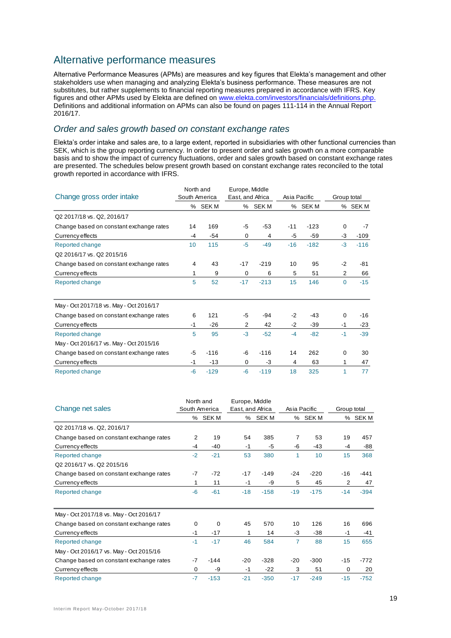# Alternative performance measures

Alternative Performance Measures (APMs) are measures and key figures that Elekta's management and other stakeholders use when managing and analyzing Elekta's business performance. These measures are not substitutes, but rather supplements to financial reporting measures prepared in accordance with IFRS. Key figures and other APMs used by Elekta are defined on [www.elekta.com/investors/financials/definitions.php.](http://www.elekta.com/investors/financials/definitions.php) Definitions and additional information on APMs can also be found on pages 111-114 in the Annual Report 2016/17.

## *Order and sales growth based on constant exchange rates*

Elekta's order intake and sales are, to a large extent, reported in subsidiaries with other functional currencies than SEK, which is the group reporting currency. In order to present order and sales growth on a more comparable basis and to show the impact of currency fluctuations, order and sales growth based on constant exchange rates are presented. The schedules below present growth based on constant exchange rates reconciled to the total growth reported in accordance with IFRS.

|                                         | North and |               | Europe, Middle   |         |       |              |             |             |  |
|-----------------------------------------|-----------|---------------|------------------|---------|-------|--------------|-------------|-------------|--|
| Change gross order intake               |           | South America | East, and Africa |         |       | Asia Pacific |             | Group total |  |
|                                         |           | % SEK M       |                  | % SEK M |       | % SEK M      |             | % SEK M     |  |
| Q2 2017/18 vs. Q2, 2016/17              |           |               |                  |         |       |              |             |             |  |
| Change based on constant exchange rates | 14        | 169           | -5               | $-53$   | $-11$ | $-123$       | $\Omega$    | -7          |  |
| Currency effects                        | -4        | -54           | 0                | 4       | -5    | $-59$        | -3          | $-109$      |  |
| Reported change                         | 10        | 115           | $-5$             | $-49$   | $-16$ | $-182$       | $-3$        | $-116$      |  |
| Q2 2016/17 vs. Q2 2015/16               |           |               |                  |         |       |              |             |             |  |
| Change based on constant exchange rates | 4         | 43            | $-17$            | $-219$  | 10    | 95           | $-2$        | $-81$       |  |
| Currency effects                        | 1         | 9             | 0                | 6       | 5     | 51           | 2           | 66          |  |
| Reported change                         | 5         | 52            | $-17$            | $-213$  | 15    | 146          | $\Omega$    | $-15$       |  |
| May - Oct 2017/18 vs. May - Oct 2016/17 |           |               |                  |         |       |              |             |             |  |
| Change based on constant exchange rates | 6         | 121           | -5               | $-94$   | $-2$  | $-43$        | 0           | -16         |  |
| Currency effects                        | $-1$      | $-26$         | 2                | 42      | $-2$  | $-39$        | $-1$        | $-23$       |  |
| Reported change                         | 5         | 95            | $-3$             | $-52$   | $-4$  | $-82$        | $-1$        | $-39$       |  |
| May - Oct 2016/17 vs. May - Oct 2015/16 |           |               |                  |         |       |              |             |             |  |
| Change based on constant exchange rates | -5        | $-116$        | -6               | $-116$  | 14    | 262          | $\mathbf 0$ | 30          |  |
| Currency effects                        | -1        | $-13$         | $\Omega$         | -3      | 4     | 63           | 1           | 47          |  |
| Reported change                         | $-6$      | $-129$        | -6               | $-119$  | 18    | 325          | 1           | 77          |  |

|                                         |                                   | North and | Europe, Middle |              |                |             |       |         |
|-----------------------------------------|-----------------------------------|-----------|----------------|--------------|----------------|-------------|-------|---------|
| Change net sales                        | South America<br>East, and Africa |           |                | Asia Pacific |                | Group total |       |         |
|                                         |                                   | % SEK M   |                | % SEK M      |                | % SEK M     |       | % SEK M |
| Q2 2017/18 vs. Q2, 2016/17              |                                   |           |                |              |                |             |       |         |
| Change based on constant exchange rates | $\overline{2}$                    | 19        | 54             | 385          | 7              | 53          | 19    | 457     |
| Currency effects                        | $-4$                              | $-40$     | -1             | -5           | -6             | $-43$       | -4    | -88     |
| Reported change                         | $-2$                              | $-21$     | 53             | 380          | 1              | 10          | 15    | 368     |
| Q2 2016/17 vs. Q2 2015/16               |                                   |           |                |              |                |             |       |         |
| Change based on constant exchange rates | -7                                | $-72$     | $-17$          | $-149$       | $-24$          | $-220$      | $-16$ | -441    |
| Currency effects                        | 1                                 | 11        | -1             | -9           | 5              | 45          | 2     | 47      |
| Reported change                         | -6                                | $-61$     | $-18$          | $-158$       | $-19$          | $-175$      | $-14$ | $-394$  |
| May - Oct 2017/18 vs. May - Oct 2016/17 |                                   |           |                |              |                |             |       |         |
| Change based on constant exchange rates | 0                                 | 0         | 45             | 570          | 10             | 126         | 16    | 696     |
| Currency effects                        | -1                                | $-17$     | 1              | 14           | -3             | $-38$       | $-1$  | -41     |
| Reported change                         | $-1$                              | $-17$     | 46             | 584          | $\overline{7}$ | 88          | 15    | 655     |
| May - Oct 2016/17 vs. May - Oct 2015/16 |                                   |           |                |              |                |             |       |         |
| Change based on constant exchange rates | $-7$                              | $-144$    | $-20$          | $-328$       | $-20$          | $-300$      | $-15$ | -772    |
| Currency effects                        | 0                                 | -9        | -1             | $-22$        | 3              | 51          | 0     | 20      |
| Reported change                         | $-7$                              | $-153$    | $-21$          | $-350$       | $-17$          | $-249$      | $-15$ | $-752$  |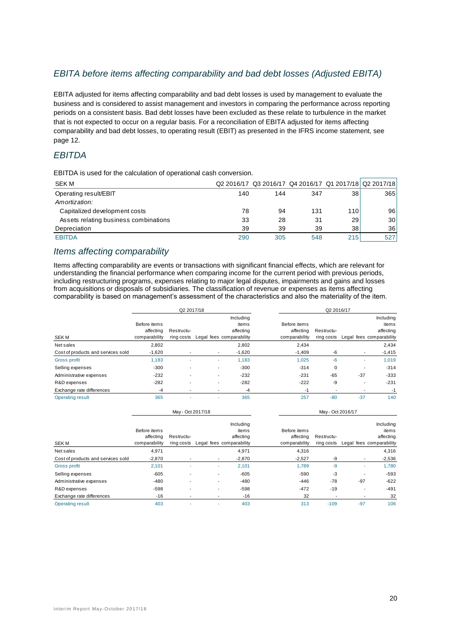## *EBITA before items affecting comparability and bad debt losses (Adjusted EBITA)*

EBITA adjusted for items affecting comparability and bad debt losses is used by management to evaluate the business and is considered to assist management and investors in comparing the performance across reporting periods on a consistent basis. Bad debt losses have been excluded as these relate to turbulence in the market that is not expected to occur on a regular basis. For a reconciliation of EBITA adjusted for items affecting comparability and bad debt losses, to operating result (EBIT) as presented in the IFRS income statement, see page 12.

## *EBITDA*

| EBITDA is used for the calculation of operational cash conversion. |     |     |     |     |                                                        |  |  |  |  |
|--------------------------------------------------------------------|-----|-----|-----|-----|--------------------------------------------------------|--|--|--|--|
| <b>SEK M</b>                                                       |     |     |     |     | Q2 2016/17 Q3 2016/17 Q4 2016/17 Q1 2017/18 Q2 2017/18 |  |  |  |  |
| Operating result/EBIT                                              | 140 | 144 | 347 | 38  | 365                                                    |  |  |  |  |
| Amortization:                                                      |     |     |     |     |                                                        |  |  |  |  |
| Capitalized development costs                                      | 78  | 94  | 131 | 110 | 96                                                     |  |  |  |  |
| Assets relating business combinations                              | 33  | 28  | 31  | 29  | 30                                                     |  |  |  |  |
| Depreciation                                                       | 39  | 39  | 39  | 38  | 36                                                     |  |  |  |  |
| <b>EBITDA</b>                                                      | 290 | 305 | 548 | 215 | 527                                                    |  |  |  |  |

#### *Items affecting comparability*

Items affecting comparability are events or transactions with significant financial effects, which are relevant for understanding the financial performance when comparing income for the current period with previous periods, including restructuring programs, expenses relating to major legal disputes, impairments and gains and losses from acquisitions or disposals of subsidiaries*.* The classification of revenue or expenses as items affecting comparability is based on management's assessment of the characteristics and also the materiality of the item.

|                                    | Q2 2017/18                                 |                          |  |                          |                                                             |                                            |                          | Q2 2016/17               |                                                             |  |  |
|------------------------------------|--------------------------------------------|--------------------------|--|--------------------------|-------------------------------------------------------------|--------------------------------------------|--------------------------|--------------------------|-------------------------------------------------------------|--|--|
| <b>SEKM</b>                        | Before items<br>affecting<br>comparability | Restructu-<br>ring costs |  |                          | Including<br>items<br>affecting<br>Legal fees comparability | Before items<br>affecting<br>comparability | Restructu-<br>ring costs |                          | Including<br>items<br>affecting<br>Legal fees comparability |  |  |
| Net sales                          | 2,802                                      |                          |  |                          | 2,802                                                       | 2,434                                      |                          |                          | 2,434                                                       |  |  |
| Cost of products and services sold | $-1,620$                                   |                          |  | $\overline{\phantom{a}}$ | $-1,620$                                                    | $-1,409$                                   | -6                       | $\overline{\phantom{a}}$ | $-1,415$                                                    |  |  |
| <b>Gross profit</b>                | 1.183                                      |                          |  | -                        | 1.183                                                       | 1.025                                      | $-6$                     |                          | 1,019                                                       |  |  |
| Selling expenses                   | $-300$                                     |                          |  |                          | $-300$                                                      | $-314$                                     | $\Omega$                 | $\overline{\phantom{0}}$ | $-314$                                                      |  |  |
| Administrative expenses            | $-232$                                     | -                        |  | -                        | $-232$                                                      | $-231$                                     | $-65$                    | $-37$                    | $-333$                                                      |  |  |
| R&D expenses                       | $-282$                                     |                          |  |                          | $-282$                                                      | $-222$                                     | -9                       |                          | $-231$                                                      |  |  |
| Exchange rate differences          | $-4$                                       |                          |  |                          | -4                                                          | -1                                         | $\blacksquare$           | $\overline{\phantom{a}}$ | -1                                                          |  |  |
| <b>Operating result</b>            | 365                                        |                          |  |                          | 365                                                         | 257                                        | $-80$                    | $-37$                    | 140                                                         |  |  |

|                                    |                                            | May - Oct 2017/18        |                          |                                                             | May - Oct 2016/17                          |                          |                          |                                                             |  |  |
|------------------------------------|--------------------------------------------|--------------------------|--------------------------|-------------------------------------------------------------|--------------------------------------------|--------------------------|--------------------------|-------------------------------------------------------------|--|--|
| <b>SEKM</b>                        | Before items<br>affecting<br>comparability | Restructu-<br>ring costs |                          | Includina<br>items<br>affecting<br>Legal fees comparability | Before items<br>affecting<br>comparability | Restructu-<br>ring costs |                          | Including<br>items<br>affecting<br>Legal fees comparability |  |  |
| Net sales                          | 4,971                                      |                          |                          | 4,971                                                       | 4,316                                      |                          |                          | 4,316                                                       |  |  |
| Cost of products and services sold | $-2.870$                                   |                          |                          | $-2.870$                                                    | $-2.527$                                   | -9                       |                          | $-2,536$                                                    |  |  |
| Gross profit                       | 2,101                                      |                          | ٠                        | 2,101                                                       | 1.789                                      | $-9$                     | ٠                        | 1,780                                                       |  |  |
| Selling expenses                   | $-605$                                     |                          | $\overline{\phantom{a}}$ | $-605$                                                      | $-590$                                     | -3                       | $\blacksquare$           | $-593$                                                      |  |  |
| Administrative expenses            | $-480$                                     |                          |                          | $-480$                                                      | $-446$                                     | $-78$                    | $-97$                    | $-622$                                                      |  |  |
| R&D expenses                       | $-598$                                     |                          |                          | $-598$                                                      | $-472$                                     | $-19$                    |                          | $-491$                                                      |  |  |
| Exchange rate differences          | $-16$                                      |                          |                          | $-16$                                                       | 32                                         | $\overline{\phantom{a}}$ | $\overline{\phantom{a}}$ | 32                                                          |  |  |
| <b>Operating result</b>            | 403                                        |                          |                          | 403                                                         | 313                                        | $-109$                   | $-97$                    | 106                                                         |  |  |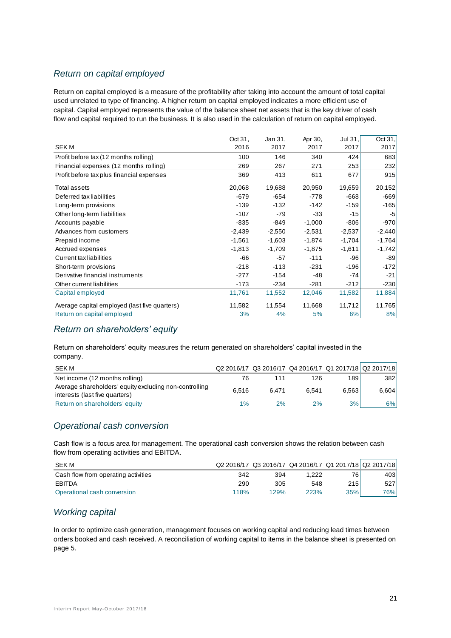## *Return on capital employed*

Return on capital employed is a measure of the profitability after taking into account the amount of total capital used unrelated to type of financing. A higher return on capital employed indicates a more efficient use of capital. Capital employed represents the value of the balance sheet net assets that is the key driver of cash flow and capital required to run the business. It is also used in the calculation of return on capital employed.

|                                               | Oct 31,  | Jan 31.  | Apr 30,  | Jul 31,  | Oct $31,$ |
|-----------------------------------------------|----------|----------|----------|----------|-----------|
| <b>SEKM</b>                                   | 2016     | 2017     | 2017     | 2017     | 2017      |
| Profit before tax (12 months rolling)         | 100      | 146      | 340      | 424      | 683       |
| Financial expenses (12 months rolling)        | 269      | 267      | 271      | 253      | 232       |
| Profit before tax plus financial expenses     | 369      | 413      | 611      | 677      | 915       |
| <b>Total assets</b>                           | 20,068   | 19,688   | 20,950   | 19,659   | 20,152    |
| Deferred tax liabilities                      | $-679$   | -654     | -778     | $-668$   | -669      |
| Long-term provisions                          | $-139$   | $-132$   | -142     | $-159$   | $-165$    |
| Other long-term liabilities                   | $-107$   | $-79$    | $-33$    | $-15$    | -5        |
| Accounts payable                              | $-835$   | -849     | $-1,000$ | -806     | -970      |
| Advances from customers                       | $-2,439$ | $-2,550$ | $-2,531$ | $-2,537$ | $-2,440$  |
| Prepaid income                                | $-1,561$ | $-1,603$ | $-1,874$ | $-1,704$ | $-1,764$  |
| Accrued expenses                              | $-1,813$ | $-1,709$ | $-1,875$ | $-1,611$ | $-1,742$  |
| <b>Current tax liabilities</b>                | $-66$    | $-57$    | $-111$   | -96      | -89       |
| Short-term provisions                         | $-218$   | $-113$   | $-231$   | $-196$   | $-172$    |
| Derivative financial instruments              | $-277$   | $-154$   | -48      | -74      | $-21$     |
| Other current liabilities                     | $-173$   | $-234$   | $-281$   | $-212$   | $-230$    |
| Capital employed                              | 11,761   | 11,552   | 12,046   | 11,582   | 11,884    |
| Average capital employed (last five quarters) | 11,582   | 11,554   | 11,668   | 11,712   | 11,765    |
| Return on capital employed                    | 3%       | 4%       | 5%       | 6%       | 8%        |
|                                               |          |          |          |          |           |

## *Return on shareholders' equity*

Return on shareholders' equity measures the return generated on shareholders' capital invested in the company.

| SEK M                                                                                    |       |       |       |       | Q2 2016/17 Q3 2016/17 Q4 2016/17 Q1 2017/18 Q2 2017/18 |
|------------------------------------------------------------------------------------------|-------|-------|-------|-------|--------------------------------------------------------|
| Net income (12 months rolling)                                                           | 76    | 111   | 126   | 189 I | 382l                                                   |
| Average shareholders' equity excluding non-controlling<br>interests (last five quarters) | 6.516 | 6.471 | 6.541 | 6.563 | 6.604                                                  |
| Return on shareholders' equity                                                           | $1\%$ | 2%    | 2%    | 3%I   | 6%l                                                    |

## *Operational cash conversion*

Cash flow is a focus area for management. The operational cash conversion shows the relation between cash flow from operating activities and EBITDA.

| SEK M                               |      |      |       |      | Q2 2016/17 Q3 2016/17 Q4 2016/17 Q1 2017/18 Q2 2017/18 |
|-------------------------------------|------|------|-------|------|--------------------------------------------------------|
| Cash flow from operating activities | 342  | 394  | 1.222 | 76 I | 4031                                                   |
| EBITDA                              | 290  | 305  | 548   | 215  | 527                                                    |
| Operational cash conversion         | 118% | 129% | 223%  | 35%  | 76%1                                                   |

## *Working capital*

In order to optimize cash generation, management focuses on working capital and reducing lead times between orders booked and cash received. A reconciliation of working capital to items in the balance sheet is presented on page 5.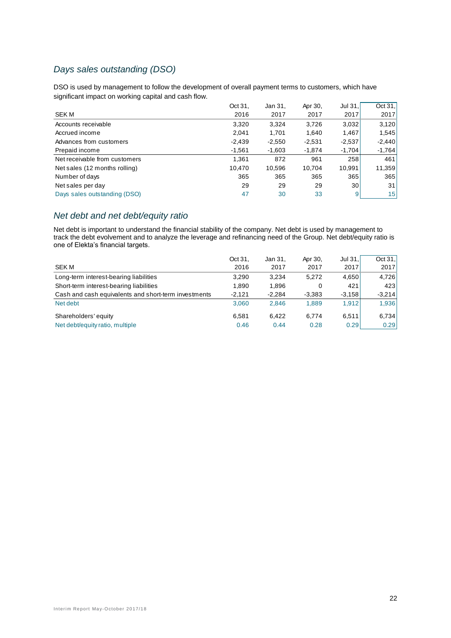## *Days sales outstanding (DSO)*

DSO is used by management to follow the development of overall payment terms to customers, which have significant impact on working capital and cash flow.

|                               | Oct 31.  | Jan 31,  | Apr 30,  | Jul 31,         | Oct 31,  |
|-------------------------------|----------|----------|----------|-----------------|----------|
| SEK M                         | 2016     | 2017     | 2017     | 2017            | 2017     |
| Accounts receivable           | 3,320    | 3,324    | 3,726    | 3,032           | 3,120    |
| Accrued income                | 2,041    | 1,701    | 1,640    | 1,467           | 1,545    |
| Advances from customers       | $-2,439$ | $-2,550$ | $-2,531$ | $-2,537$        | $-2,440$ |
| Prepaid income                | $-1,561$ | $-1,603$ | $-1,874$ | $-1,704$        | $-1,764$ |
| Net receivable from customers | 1,361    | 872      | 961      | 258             | 461      |
| Net sales (12 months rolling) | 10,470   | 10,596   | 10,704   | 10,991          | 11,359   |
| Number of days                | 365      | 365      | 365      | 365             | 365      |
| Net sales per day             | 29       | 29       | 29       | 30 <sub>1</sub> | 31       |
| Days sales outstanding (DSO)  | 47       | 30       | 33       | 9 <sub>1</sub>  | 15       |
|                               |          |          |          |                 |          |

## *Net debt and net debt/equity ratio*

Net debt is important to understand the financial stability of the company. Net debt is used by management to track the debt evolvement and to analyze the leverage and refinancing need of the Group. Net debt/equity ratio is one of Elekta's financial targets.

|                                                      | Oct 31.  | Jan 31,  | Apr 30,  | Jul $31.$ | Oct $31$ . |
|------------------------------------------------------|----------|----------|----------|-----------|------------|
| <b>SEK M</b>                                         | 2016     | 2017     | 2017     | 2017      | 2017       |
| Long-term interest-bearing liabilities               | 3.290    | 3.234    | 5.272    | 4.650     | 4,726      |
| Short-term interest-bearing liabilities              | 1.890    | 1,896    | 0        | 421       | 423        |
| Cash and cash equivalents and short-term investments | $-2.121$ | $-2.284$ | $-3,383$ | $-3,158$  | $-3,214$   |
| Net debt                                             | 3.060    | 2.846    | 1.889    | 1,912     | 1,936      |
| Shareholders' equity                                 | 6.581    | 6.422    | 6.774    | 6,511     | 6,734      |
| Net debt/equity ratio, multiple                      | 0.46     | 0.44     | 0.28     | 0.29      | 0.29       |